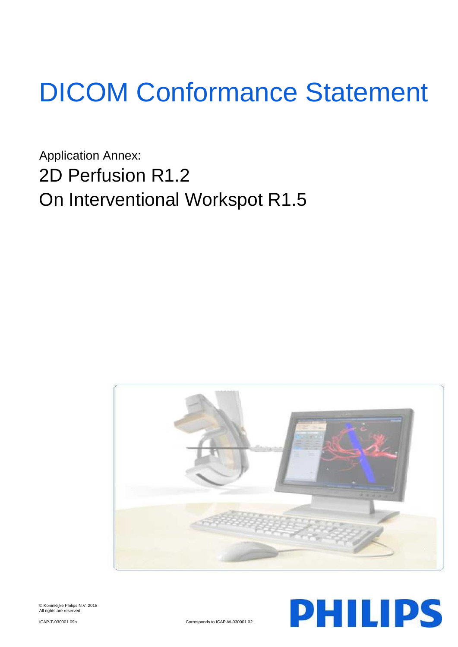# DICOM Conformance Statement

Application Annex: 2D Perfusion R1.2 On Interventional Workspot R1.5





© Koninklijke Philips N.V. 2018 All rights are reserved.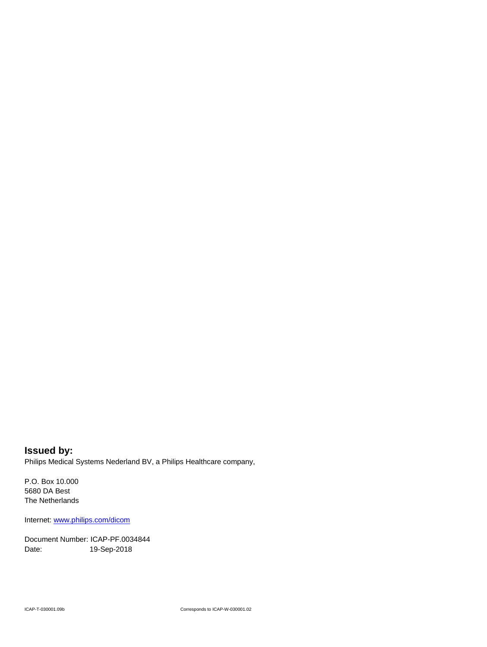**Issued by:** Philips Medical Systems Nederland BV, a Philips Healthcare company,

P.O. Box 10.000 5680 DA Best The Netherlands

Internet[: www.philips.com/dicom](http://www.philips.com/dicom)

Document Number: ICAP-PF.0034844 Date: 19-Sep-2018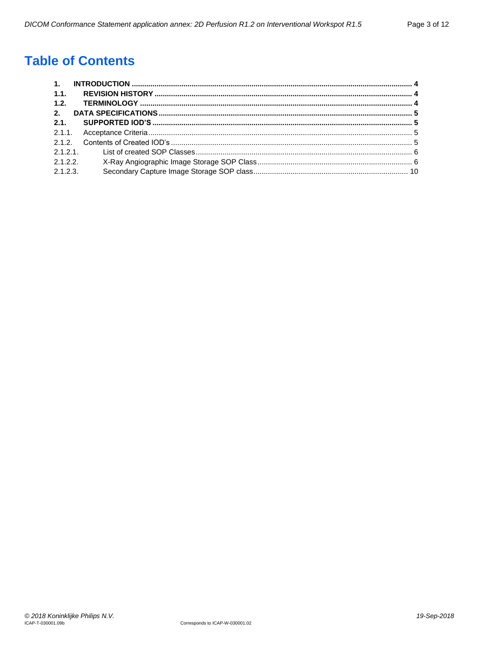# **Table of Contents**

| 1.1.     |  |
|----------|--|
| 1.2.     |  |
| 2.       |  |
| 2.1.     |  |
|          |  |
|          |  |
|          |  |
| 2.1.2.2  |  |
| 2.1.2.3. |  |
|          |  |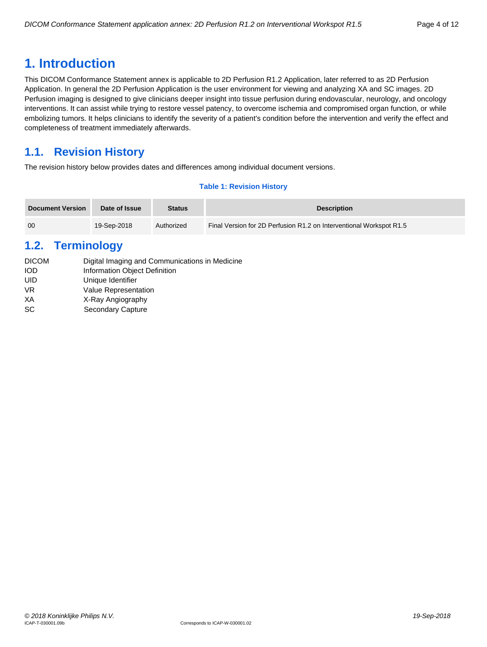# <span id="page-3-0"></span>**1. Introduction**

This DICOM Conformance Statement annex is applicable to 2D Perfusion R1.2 Application, later referred to as 2D Perfusion Application. In general the 2D Perfusion Application is the user environment for viewing and analyzing XA and SC images. 2D Perfusion imaging is designed to give clinicians deeper insight into tissue perfusion during endovascular, neurology, and oncology interventions. It can assist while trying to restore vessel patency, to overcome ischemia and compromised organ function, or while embolizing tumors. It helps clinicians to identify the severity of a patient's condition before the intervention and verify the effect and completeness of treatment immediately afterwards.

# <span id="page-3-1"></span>**1.1. Revision History**

The revision history below provides dates and differences among individual document versions.

# **Table 1: Revision History**

| <b>Document Version</b> | Date of Issue | <b>Status</b> | <b>Description</b>                                                  |
|-------------------------|---------------|---------------|---------------------------------------------------------------------|
| 00                      | 19-Sep-2018   | Authorized    | Final Version for 2D Perfusion R1.2 on Interventional Workspot R1.5 |

# <span id="page-3-2"></span>**1.2. Terminology**

| <b>DICOM</b> | Digital Imaging and Communications in Medicine |
|--------------|------------------------------------------------|
| IOD          | Information Object Definition                  |
| UID          | Unique Identifier                              |
| VR           | Value Representation                           |
| XА           | X-Ray Angiography                              |
| SC           | Secondary Capture                              |
|              |                                                |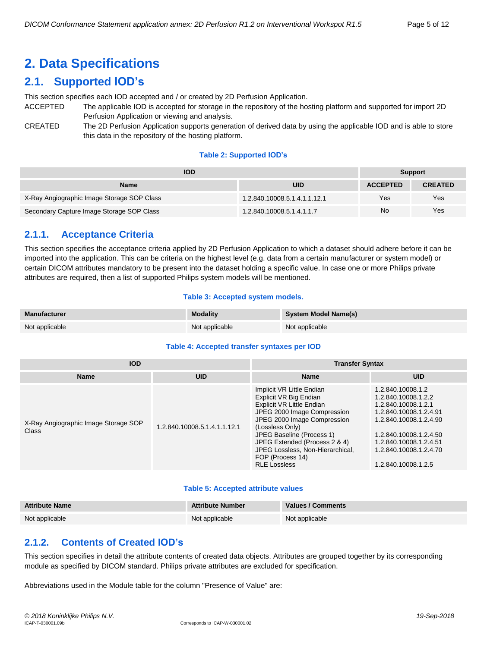# <span id="page-4-0"></span>**2. Data Specifications**

# <span id="page-4-1"></span>**2.1. Supported IOD's**

This section specifies each IOD accepted and / or created by 2D Perfusion Application.

- ACCEPTED The applicable IOD is accepted for storage in the repository of the hosting platform and supported for import 2D Perfusion Application or viewing and analysis.
- CREATED The 2D Perfusion Application supports generation of derived data by using the applicable IOD and is able to store this data in the repository of the hosting platform.

## **Table 2: Supported IOD's**

| <b>IOD</b>                                 | <b>Support</b>               |                 |                |
|--------------------------------------------|------------------------------|-----------------|----------------|
| <b>Name</b>                                | UID                          | <b>ACCEPTED</b> | <b>CREATED</b> |
| X-Ray Angiographic Image Storage SOP Class | 1.2.840.10008.5.1.4.1.1.12.1 | Yes             | Yes            |
| Secondary Capture Image Storage SOP Class  | 1.2.840.10008.5.1.4.1.1.7    | No              | Yes            |

# <span id="page-4-2"></span>**2.1.1. Acceptance Criteria**

This section specifies the acceptance criteria applied by 2D Perfusion Application to which a dataset should adhere before it can be imported into the application. This can be criteria on the highest level (e.g. data from a certain manufacturer or system model) or certain DICOM attributes mandatory to be present into the dataset holding a specific value. In case one or more Philips private attributes are required, then a list of supported Philips system models will be mentioned.

## **Table 3: Accepted system models.**

| <b>Manufacturer</b> | <b>Modality</b> | System Model Name(s) |
|---------------------|-----------------|----------------------|
| Not applicable      | Not applicable  | Not applicable       |

# **Table 4: Accepted transfer syntaxes per IOD**

| <b>IOD</b>                                    |                              | <b>Transfer Syntax</b>                                                                                                                                                                                                                                                                                                |                                                                                                                                                                                                                          |  |
|-----------------------------------------------|------------------------------|-----------------------------------------------------------------------------------------------------------------------------------------------------------------------------------------------------------------------------------------------------------------------------------------------------------------------|--------------------------------------------------------------------------------------------------------------------------------------------------------------------------------------------------------------------------|--|
| <b>Name</b>                                   | <b>UID</b>                   | <b>Name</b>                                                                                                                                                                                                                                                                                                           | <b>UID</b>                                                                                                                                                                                                               |  |
| X-Ray Angiographic Image Storage SOP<br>Class | 1.2.840.10008.5.1.4.1.1.12.1 | Implicit VR Little Endian<br>Explicit VR Big Endian<br><b>Explicit VR Little Endian</b><br>JPEG 2000 Image Compression<br>JPEG 2000 Image Compression<br>(Lossless Only)<br>JPEG Baseline (Process 1)<br>JPEG Extended (Process 2 & 4)<br>JPEG Lossless, Non-Hierarchical,<br>FOP (Process 14)<br><b>RLE Lossless</b> | 1.2.840.10008.1.2<br>1.2.840.10008.1.2.2<br>1.2.840.10008.1.2.1<br>1.2.840.10008.1.2.4.91<br>1.2.840.10008.1.2.4.90<br>1.2.840.10008.1.2.4.50<br>1.2.840.10008.1.2.4.51<br>1.2.840.10008.1.2.4.70<br>1.2.840.10008.1.2.5 |  |

#### **Table 5: Accepted attribute values**

| <b>Attribute Name</b> | <b>Attribute Number</b> | <b>Values / Comments</b> |
|-----------------------|-------------------------|--------------------------|
| Not applicable        | Not applicable          | Not applicable           |

# <span id="page-4-3"></span>**2.1.2. Contents of Created IOD's**

This section specifies in detail the attribute contents of created data objects. Attributes are grouped together by its corresponding module as specified by DICOM standard. Philips private attributes are excluded for specification.

Abbreviations used in the Module table for the column "Presence of Value" are: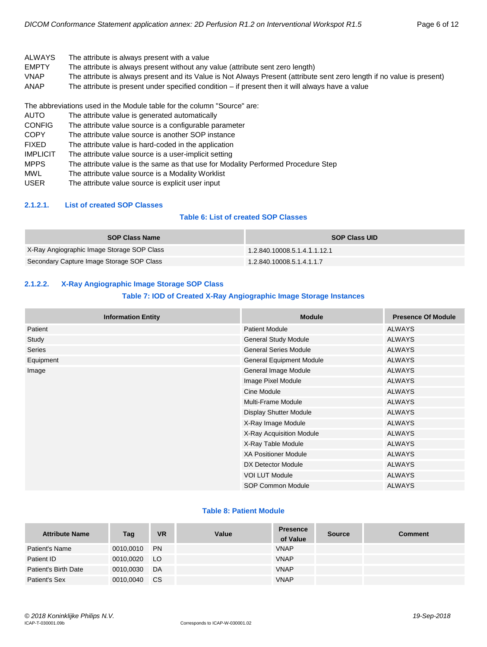- ALWAYS The attribute is always present with a value
- EMPTY The attribute is always present without any value (attribute sent zero length)
- VNAP The attribute is always present and its Value is Not Always Present (attribute sent zero length if no value is present)
- ANAP The attribute is present under specified condition if present then it will always have a value

AUTO The attribute value is generated automatically CONFIG The attribute value source is a configurable parameter COPY The attribute value source is another SOP instance FIXED The attribute value is hard-coded in the application IMPLICIT The attribute value source is a user-implicit setting MPPS The attribute value is the same as that use for Modality Performed Procedure Step MWL The attribute value source is a Modality Worklist USER The attribute value source is explicit user input

#### <span id="page-5-0"></span>**2.1.2.1. List of created SOP Classes**

# **Table 6: List of created SOP Classes**

| <b>SOP Class Name</b>                      | <b>SOP Class UID</b>         |
|--------------------------------------------|------------------------------|
| X-Ray Angiographic Image Storage SOP Class | 1.2.840.10008.5.1.4.1.1.12.1 |
| Secondary Capture Image Storage SOP Class  | 1.2.840.10008.5.1.4.1.1.7    |

# <span id="page-5-1"></span>**2.1.2.2. X-Ray Angiographic Image Storage SOP Class**

## **Table 7: IOD of Created X-Ray Angiographic Image Storage Instances**

| <b>Information Entity</b> | <b>Module</b>                   | <b>Presence Of Module</b> |
|---------------------------|---------------------------------|---------------------------|
| Patient                   | <b>Patient Module</b>           | <b>ALWAYS</b>             |
| Study                     | General Study Module            | <b>ALWAYS</b>             |
| Series                    | <b>General Series Module</b>    | <b>ALWAYS</b>             |
| Equipment                 | <b>General Equipment Module</b> | <b>ALWAYS</b>             |
| Image                     | General Image Module            | <b>ALWAYS</b>             |
|                           | Image Pixel Module              | <b>ALWAYS</b>             |
|                           | Cine Module                     | <b>ALWAYS</b>             |
|                           | <b>Multi-Frame Module</b>       | <b>ALWAYS</b>             |
|                           | <b>Display Shutter Module</b>   | <b>ALWAYS</b>             |
|                           | X-Ray Image Module              | <b>ALWAYS</b>             |
|                           | X-Ray Acquisition Module        | <b>ALWAYS</b>             |
|                           | X-Ray Table Module              | <b>ALWAYS</b>             |
|                           | <b>XA Positioner Module</b>     | <b>ALWAYS</b>             |
|                           | DX Detector Module              | <b>ALWAYS</b>             |
|                           | <b>VOI LUT Module</b>           | <b>ALWAYS</b>             |
|                           | SOP Common Module               | <b>ALWAYS</b>             |

#### **Table 8: Patient Module**

| <b>Attribute Name</b> | Tag       | <b>VR</b>     | Value | <b>Presence</b><br>of Value | <b>Source</b> | <b>Comment</b> |
|-----------------------|-----------|---------------|-------|-----------------------------|---------------|----------------|
| Patient's Name        | 0010,0010 | <b>PN</b>     |       | <b>VNAP</b>                 |               |                |
| Patient ID            | 0010,0020 | LO.           |       | <b>VNAP</b>                 |               |                |
| Patient's Birth Date  | 0010.0030 | DA            |       | <b>VNAP</b>                 |               |                |
| Patient's Sex         | 0010,0040 | <sub>CS</sub> |       | <b>VNAP</b>                 |               |                |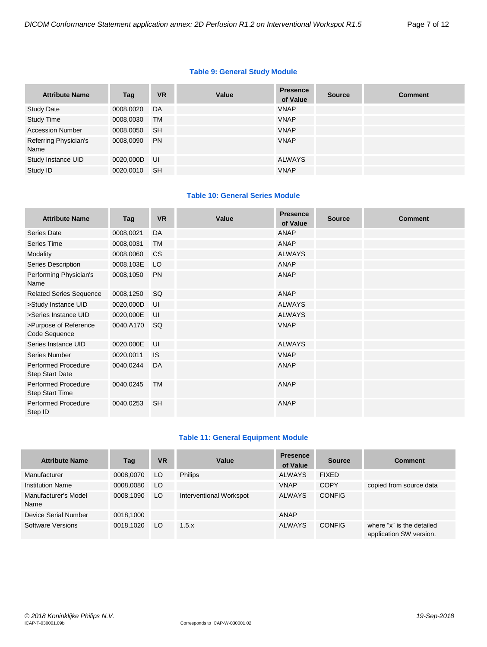## **Table 9: General Study Module**

| <b>Attribute Name</b>         | Tag       | <b>VR</b> | Value | <b>Presence</b><br>of Value | <b>Source</b> | <b>Comment</b> |
|-------------------------------|-----------|-----------|-------|-----------------------------|---------------|----------------|
| <b>Study Date</b>             | 0008,0020 | DA        |       | <b>VNAP</b>                 |               |                |
| <b>Study Time</b>             | 0008,0030 | TM        |       | <b>VNAP</b>                 |               |                |
| <b>Accession Number</b>       | 0008,0050 | <b>SH</b> |       | <b>VNAP</b>                 |               |                |
| Referring Physician's<br>Name | 0008,0090 | <b>PN</b> |       | <b>VNAP</b>                 |               |                |
| Study Instance UID            | 0020,000D | UI        |       | <b>ALWAYS</b>               |               |                |
| Study ID                      | 0020,0010 | <b>SH</b> |       | <b>VNAP</b>                 |               |                |

# **Table 10: General Series Module**

| <b>Attribute Name</b>                                | Tag       | <b>VR</b> | Value | <b>Presence</b><br>of Value | <b>Source</b> | <b>Comment</b> |
|------------------------------------------------------|-----------|-----------|-------|-----------------------------|---------------|----------------|
| Series Date                                          | 0008,0021 | DA        |       | <b>ANAP</b>                 |               |                |
| Series Time                                          | 0008,0031 | <b>TM</b> |       | ANAP                        |               |                |
| Modality                                             | 0008,0060 | <b>CS</b> |       | <b>ALWAYS</b>               |               |                |
| Series Description                                   | 0008,103E | LO        |       | ANAP                        |               |                |
| Performing Physician's<br>Name                       | 0008,1050 | <b>PN</b> |       | <b>ANAP</b>                 |               |                |
| <b>Related Series Sequence</b>                       | 0008,1250 | SQ        |       | <b>ANAP</b>                 |               |                |
| >Study Instance UID                                  | 0020,000D | UI        |       | <b>ALWAYS</b>               |               |                |
| >Series Instance UID                                 | 0020,000E | UI        |       | <b>ALWAYS</b>               |               |                |
| >Purpose of Reference<br>Code Sequence               | 0040,A170 | SQ        |       | <b>VNAP</b>                 |               |                |
| Series Instance UID                                  | 0020,000E | UI        |       | <b>ALWAYS</b>               |               |                |
| Series Number                                        | 0020,0011 | <b>IS</b> |       | <b>VNAP</b>                 |               |                |
| <b>Performed Procedure</b><br><b>Step Start Date</b> | 0040,0244 | DA        |       | <b>ANAP</b>                 |               |                |
| <b>Performed Procedure</b><br><b>Step Start Time</b> | 0040,0245 | <b>TM</b> |       | ANAP                        |               |                |
| <b>Performed Procedure</b><br>Step ID                | 0040,0253 | <b>SH</b> |       | <b>ANAP</b>                 |               |                |

# **Table 11: General Equipment Module**

| <b>Attribute Name</b>        | Tag       | <b>VR</b> | Value                   | <b>Presence</b><br>of Value | <b>Source</b> | <b>Comment</b>                                       |
|------------------------------|-----------|-----------|-------------------------|-----------------------------|---------------|------------------------------------------------------|
| Manufacturer                 | 0008,0070 | LO.       | <b>Philips</b>          | <b>ALWAYS</b>               | <b>FIXED</b>  |                                                      |
| <b>Institution Name</b>      | 0008.0080 | LO        |                         | <b>VNAP</b>                 | <b>COPY</b>   | copied from source data                              |
| Manufacturer's Model<br>Name | 0008.1090 | LO        | Interventional Workspot | <b>ALWAYS</b>               | <b>CONFIG</b> |                                                      |
| Device Serial Number         | 0018,1000 |           |                         | <b>ANAP</b>                 |               |                                                      |
| Software Versions            | 0018,1020 | LO        | 1.5.x                   | <b>ALWAYS</b>               | <b>CONFIG</b> | where "x" is the detailed<br>application SW version. |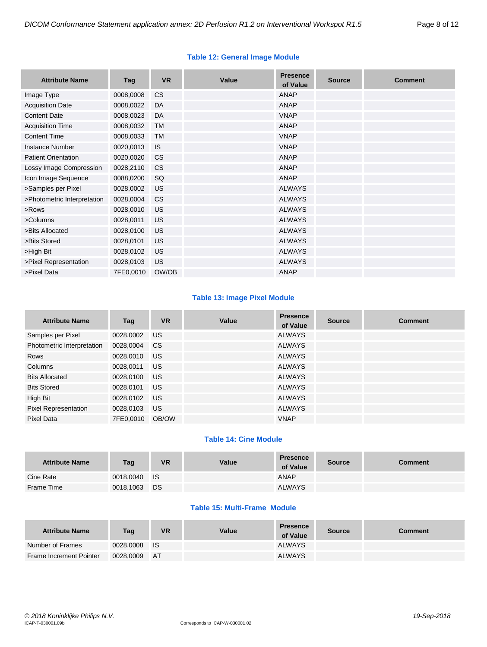| <b>Attribute Name</b>       | Tag       | <b>VR</b> | Value | <b>Presence</b><br>of Value | <b>Source</b> | <b>Comment</b> |
|-----------------------------|-----------|-----------|-------|-----------------------------|---------------|----------------|
| Image Type                  | 0008,0008 | <b>CS</b> |       | <b>ANAP</b>                 |               |                |
| <b>Acquisition Date</b>     | 0008,0022 | DA        |       | <b>ANAP</b>                 |               |                |
| <b>Content Date</b>         | 0008,0023 | DA        |       | <b>VNAP</b>                 |               |                |
| <b>Acquisition Time</b>     | 0008,0032 | <b>TM</b> |       | ANAP                        |               |                |
| <b>Content Time</b>         | 0008,0033 | <b>TM</b> |       | <b>VNAP</b>                 |               |                |
| <b>Instance Number</b>      | 0020,0013 | IS        |       | <b>VNAP</b>                 |               |                |
| <b>Patient Orientation</b>  | 0020,0020 | <b>CS</b> |       | <b>ANAP</b>                 |               |                |
| Lossy Image Compression     | 0028,2110 | <b>CS</b> |       | ANAP                        |               |                |
| Icon Image Sequence         | 0088,0200 | SQ        |       | <b>ANAP</b>                 |               |                |
| >Samples per Pixel          | 0028,0002 | <b>US</b> |       | <b>ALWAYS</b>               |               |                |
| >Photometric Interpretation | 0028,0004 | <b>CS</b> |       | <b>ALWAYS</b>               |               |                |
| >Rows                       | 0028,0010 | <b>US</b> |       | <b>ALWAYS</b>               |               |                |
| >Columns                    | 0028,0011 | <b>US</b> |       | <b>ALWAYS</b>               |               |                |
| >Bits Allocated             | 0028,0100 | <b>US</b> |       | <b>ALWAYS</b>               |               |                |
| >Bits Stored                | 0028,0101 | <b>US</b> |       | <b>ALWAYS</b>               |               |                |
| >High Bit                   | 0028,0102 | <b>US</b> |       | <b>ALWAYS</b>               |               |                |
| >Pixel Representation       | 0028,0103 | <b>US</b> |       | <b>ALWAYS</b>               |               |                |
| >Pixel Data                 | 7FE0,0010 | OW/OB     |       | <b>ANAP</b>                 |               |                |

# **Table 12: General Image Module**

# **Table 13: Image Pixel Module**

| <b>Attribute Name</b>       | Tag       | <b>VR</b> | Value | <b>Presence</b><br>of Value | <b>Source</b> | <b>Comment</b> |
|-----------------------------|-----------|-----------|-------|-----------------------------|---------------|----------------|
| Samples per Pixel           | 0028,0002 | US.       |       | <b>ALWAYS</b>               |               |                |
| Photometric Interpretation  | 0028,0004 | CS.       |       | <b>ALWAYS</b>               |               |                |
| <b>Rows</b>                 | 0028,0010 | US.       |       | <b>ALWAYS</b>               |               |                |
| Columns                     | 0028,0011 | US.       |       | <b>ALWAYS</b>               |               |                |
| <b>Bits Allocated</b>       | 0028,0100 | US.       |       | <b>ALWAYS</b>               |               |                |
| <b>Bits Stored</b>          | 0028,0101 | US.       |       | ALWAYS                      |               |                |
| High Bit                    | 0028,0102 | US.       |       | <b>ALWAYS</b>               |               |                |
| <b>Pixel Representation</b> | 0028,0103 | US.       |       | <b>ALWAYS</b>               |               |                |
| Pixel Data                  | 7FE0,0010 | OB/OW     |       | <b>VNAP</b>                 |               |                |

# **Table 14: Cine Module**

| <b>Attribute Name</b> | Tag       | <b>VR</b> | <b>Value</b> | <b>Presence</b><br>of Value | <b>Source</b> | Comment |
|-----------------------|-----------|-----------|--------------|-----------------------------|---------------|---------|
| Cine Rate             | 0018.0040 | <b>IS</b> |              | ANAP                        |               |         |
| Frame Time            | 0018,1063 | <b>DS</b> |              | <b>ALWAYS</b>               |               |         |

# **Table 15: Multi-Frame Module**

| <b>Attribute Name</b>   | Tag          | <b>VR</b> | Value | <b>Presence</b><br>of Value | <b>Source</b> | Comment |
|-------------------------|--------------|-----------|-------|-----------------------------|---------------|---------|
| Number of Frames        | 0028,0008 IS |           |       | ALWAYS                      |               |         |
| Frame Increment Pointer | 0028.0009    | - AT      |       | <b>ALWAYS</b>               |               |         |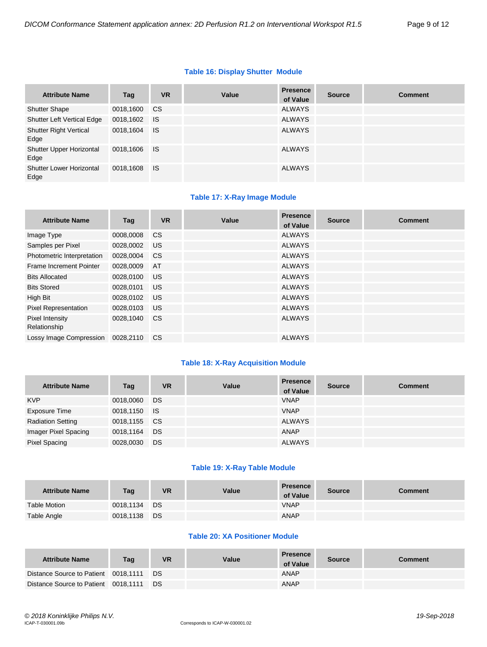# **Table 16: Display Shutter Module**

| <b>Attribute Name</b>                   | Tag          | <b>VR</b> | Value | <b>Presence</b><br>of Value | <b>Source</b> | <b>Comment</b> |
|-----------------------------------------|--------------|-----------|-------|-----------------------------|---------------|----------------|
| <b>Shutter Shape</b>                    | 0018,1600    | <b>CS</b> |       | <b>ALWAYS</b>               |               |                |
| <b>Shutter Left Vertical Edge</b>       | 0018,1602    | <b>IS</b> |       | <b>ALWAYS</b>               |               |                |
| <b>Shutter Right Vertical</b><br>Edge   | 0018,1604    | <b>IS</b> |       | <b>ALWAYS</b>               |               |                |
| Shutter Upper Horizontal<br>Edge        | 0018,1606 IS |           |       | <b>ALWAYS</b>               |               |                |
| <b>Shutter Lower Horizontal</b><br>Edge | 0018,1608    | <b>IS</b> |       | <b>ALWAYS</b>               |               |                |

# **Table 17: X-Ray Image Module**

| <b>Attribute Name</b>           | Tag       | <b>VR</b>     | Value | <b>Presence</b><br>of Value | <b>Source</b> | <b>Comment</b> |
|---------------------------------|-----------|---------------|-------|-----------------------------|---------------|----------------|
| Image Type                      | 0008,0008 | <sub>CS</sub> |       | <b>ALWAYS</b>               |               |                |
| Samples per Pixel               | 0028,0002 | US.           |       | <b>ALWAYS</b>               |               |                |
| Photometric Interpretation      | 0028,0004 | <b>CS</b>     |       | <b>ALWAYS</b>               |               |                |
| Frame Increment Pointer         | 0028,0009 | AT            |       | <b>ALWAYS</b>               |               |                |
| <b>Bits Allocated</b>           | 0028,0100 | US.           |       | <b>ALWAYS</b>               |               |                |
| <b>Bits Stored</b>              | 0028,0101 | US.           |       | <b>ALWAYS</b>               |               |                |
| High Bit                        | 0028,0102 | US.           |       | <b>ALWAYS</b>               |               |                |
| <b>Pixel Representation</b>     | 0028,0103 | <b>US</b>     |       | <b>ALWAYS</b>               |               |                |
| Pixel Intensity<br>Relationship | 0028,1040 | CS.           |       | <b>ALWAYS</b>               |               |                |
| Lossy Image Compression         | 0028.2110 | <b>CS</b>     |       | <b>ALWAYS</b>               |               |                |

# **Table 18: X-Ray Acquisition Module**

| <b>Attribute Name</b>    | Tag          | <b>VR</b> | Value | <b>Presence</b><br>of Value | <b>Source</b> | <b>Comment</b> |
|--------------------------|--------------|-----------|-------|-----------------------------|---------------|----------------|
| <b>KVP</b>               | 0018,0060    | DS        |       | <b>VNAP</b>                 |               |                |
| Exposure Time            | 0018,1150 IS |           |       | <b>VNAP</b>                 |               |                |
| <b>Radiation Setting</b> | 0018,1155 CS |           |       | <b>ALWAYS</b>               |               |                |
| Imager Pixel Spacing     | 0018,1164    | DS        |       | ANAP                        |               |                |
| <b>Pixel Spacing</b>     | 0028,0030    | DS        |       | <b>ALWAYS</b>               |               |                |

# **Table 19: X-Ray Table Module**

| <b>Attribute Name</b> | Tag       | VR  | Value | <b>Presence</b><br>of Value | <b>Source</b> | Comment |
|-----------------------|-----------|-----|-------|-----------------------------|---------------|---------|
| <b>Table Motion</b>   | 0018,1134 | DS  |       | <b>VNAP</b>                 |               |         |
| Table Angle           | 0018,1138 | DS. |       | ANAP                        |               |         |

# **Table 20: XA Positioner Module**

| <b>Attribute Name</b>                | Tag | <b>VR</b> | Value | <b>Presence</b><br>of Value | <b>Source</b> | Comment |
|--------------------------------------|-----|-----------|-------|-----------------------------|---------------|---------|
| Distance Source to Patient 0018,1111 |     | D.S       |       | <b>ANAP</b>                 |               |         |
| Distance Source to Patient 0018,1111 |     | D.S       |       | ANAP                        |               |         |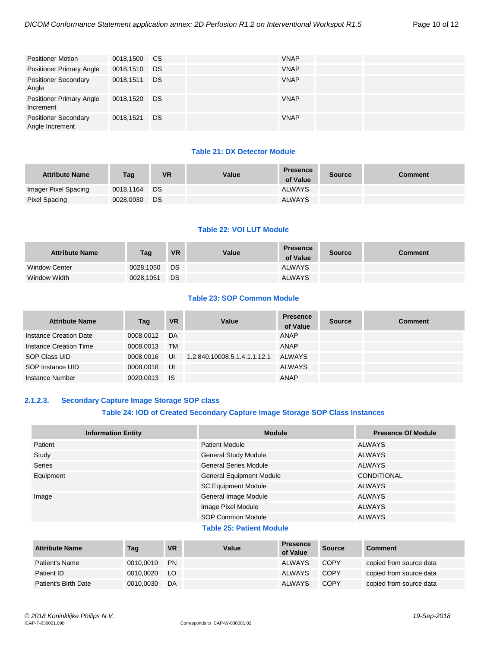| <b>Positioner Motion</b>                       | 0018,1500 CS |           | <b>VNAP</b> |  |  |
|------------------------------------------------|--------------|-----------|-------------|--|--|
| <b>Positioner Primary Angle</b>                | 0018,1510    | DS        | <b>VNAP</b> |  |  |
| <b>Positioner Secondary</b><br>Angle           | 0018,1511    | DS        | <b>VNAP</b> |  |  |
| <b>Positioner Primary Angle</b><br>Increment   | 0018,1520    | <b>DS</b> | <b>VNAP</b> |  |  |
| <b>Positioner Secondary</b><br>Angle Increment | 0018,1521    | DS        | <b>VNAP</b> |  |  |

#### **Table 21: DX Detector Module**

| <b>Attribute Name</b> | Tag       | <b>VR</b> | Value | <b>Presence</b><br>of Value | <b>Source</b> | <b>Comment</b> |
|-----------------------|-----------|-----------|-------|-----------------------------|---------------|----------------|
| Imager Pixel Spacing  | 0018.1164 | DS        |       | <b>ALWAYS</b>               |               |                |
| Pixel Spacing         | 0028,0030 | DS        |       | <b>ALWAYS</b>               |               |                |

# **Table 22: VOI LUT Module**

| <b>Attribute Name</b> | Tag       | <b>VR</b> | Value | <b>Presence</b><br>of Value | <b>Source</b> | <b>Comment</b> |
|-----------------------|-----------|-----------|-------|-----------------------------|---------------|----------------|
| <b>Window Center</b>  | 0028.1050 | DS        |       | <b>ALWAYS</b>               |               |                |
| Window Width          | 0028,1051 | DS        |       | <b>ALWAYS</b>               |               |                |

# **Table 23: SOP Common Module**

| <b>Attribute Name</b>  | Tag       | <b>VR</b> | Value                        | <b>Presence</b><br>of Value | <b>Source</b> | <b>Comment</b> |
|------------------------|-----------|-----------|------------------------------|-----------------------------|---------------|----------------|
| Instance Creation Date | 0008.0012 | DA        |                              | <b>ANAP</b>                 |               |                |
| Instance Creation Time | 0008.0013 | <b>TM</b> |                              | <b>ANAP</b>                 |               |                |
| SOP Class UID          | 0008.0016 | UI        | 1.2.840.10008.5.1.4.1.1.12.1 | ALWAYS                      |               |                |
| SOP Instance UID       | 0008,0018 | UI        |                              | <b>ALWAYS</b>               |               |                |
| Instance Number        | 0020.0013 | - IS      |                              | ANAP                        |               |                |

## <span id="page-9-0"></span>**2.1.2.3. Secondary Capture Image Storage SOP class**

# **Table 24: IOD of Created Secondary Capture Image Storage SOP Class Instances**

| <b>Information Entity</b> | <b>Module</b>                   | <b>Presence Of Module</b> |
|---------------------------|---------------------------------|---------------------------|
| Patient                   | <b>Patient Module</b>           | <b>ALWAYS</b>             |
| Study                     | <b>General Study Module</b>     | <b>ALWAYS</b>             |
| <b>Series</b>             | <b>General Series Module</b>    | <b>ALWAYS</b>             |
| Equipment                 | <b>General Equipment Module</b> | CONDITIONAL               |
|                           | <b>SC Equipment Module</b>      | <b>ALWAYS</b>             |
| Image                     | General Image Module            | <b>ALWAYS</b>             |
|                           | Image Pixel Module              | <b>ALWAYS</b>             |
|                           | SOP Common Module               | <b>ALWAYS</b>             |
|                           | ________                        |                           |

#### **Table 25: Patient Module**

| <b>Attribute Name</b>       | Tag       | <b>VR</b> | Value | Presence<br>of Value | <b>Source</b> | <b>Comment</b>          |
|-----------------------------|-----------|-----------|-------|----------------------|---------------|-------------------------|
| Patient's Name              | 0010.0010 | <b>PN</b> |       | ALWAYS               | <b>COPY</b>   | copied from source data |
| Patient ID                  | 0010.0020 | LO.       |       | ALWAYS               | <b>COPY</b>   | copied from source data |
| <b>Patient's Birth Date</b> | 0010,0030 | DA        |       | <b>ALWAYS</b>        | <b>COPY</b>   | copied from source data |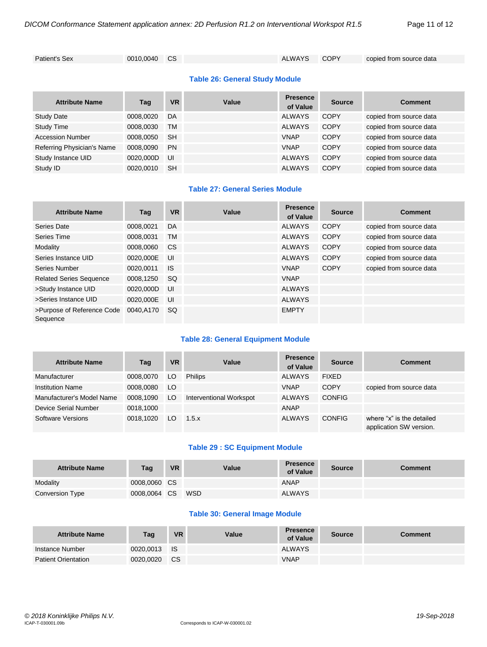Patient's Sex 0010,0040 CS ALWAYS COPY copied from source data

# **Table 26: General Study Module**

| <b>Attribute Name</b>      | Tag       | <b>VR</b> | Value | <b>Presence</b><br>of Value | <b>Source</b> | <b>Comment</b>          |
|----------------------------|-----------|-----------|-------|-----------------------------|---------------|-------------------------|
| <b>Study Date</b>          | 0008.0020 | DA        |       | <b>ALWAYS</b>               | <b>COPY</b>   | copied from source data |
| <b>Study Time</b>          | 0008,0030 | TM        |       | <b>ALWAYS</b>               | <b>COPY</b>   | copied from source data |
| <b>Accession Number</b>    | 0008.0050 | <b>SH</b> |       | <b>VNAP</b>                 | <b>COPY</b>   | copied from source data |
| Referring Physician's Name | 0008,0090 | <b>PN</b> |       | <b>VNAP</b>                 | <b>COPY</b>   | copied from source data |
| Study Instance UID         | 0020.000D | IJ        |       | <b>ALWAYS</b>               | <b>COPY</b>   | copied from source data |
| Study ID                   | 0020.0010 | <b>SH</b> |       | <b>ALWAYS</b>               | <b>COPY</b>   | copied from source data |

# **Table 27: General Series Module**

| <b>Attribute Name</b>                  | Tag       | <b>VR</b>     | Value | <b>Presence</b><br>of Value | <b>Source</b> | <b>Comment</b>          |
|----------------------------------------|-----------|---------------|-------|-----------------------------|---------------|-------------------------|
| Series Date                            | 0008,0021 | DA            |       | <b>ALWAYS</b>               | COPY          | copied from source data |
| Series Time                            | 0008.0031 | <b>TM</b>     |       | ALWAYS                      | COPY          | copied from source data |
| Modality                               | 0008,0060 | <sub>CS</sub> |       | <b>ALWAYS</b>               | <b>COPY</b>   | copied from source data |
| Series Instance UID                    | 0020.000E | UI            |       | ALWAYS                      | <b>COPY</b>   | copied from source data |
| Series Number                          | 0020.0011 | <b>IS</b>     |       | <b>VNAP</b>                 | <b>COPY</b>   | copied from source data |
| <b>Related Series Sequence</b>         | 0008,1250 | <b>SQ</b>     |       | <b>VNAP</b>                 |               |                         |
| >Study Instance UID                    | 0020.000D | UI            |       | <b>ALWAYS</b>               |               |                         |
| >Series Instance UID                   | 0020.000E | UI            |       | <b>ALWAYS</b>               |               |                         |
| >Purpose of Reference Code<br>Sequence | 0040.A170 | <b>SQ</b>     |       | <b>EMPTY</b>                |               |                         |

# **Table 28: General Equipment Module**

| <b>Attribute Name</b>     | Taq       | <b>VR</b> | Value                   | <b>Presence</b><br>of Value | <b>Source</b> | Comment                                              |
|---------------------------|-----------|-----------|-------------------------|-----------------------------|---------------|------------------------------------------------------|
| Manufacturer              | 0008.0070 | LO        | <b>Philips</b>          | ALWAYS                      | <b>FIXED</b>  |                                                      |
| <b>Institution Name</b>   | 0008.0080 | LO        |                         | <b>VNAP</b>                 | <b>COPY</b>   | copied from source data                              |
| Manufacturer's Model Name | 0008,1090 | LO        | Interventional Workspot | ALWAYS                      | <b>CONFIG</b> |                                                      |
| Device Serial Number      | 0018,1000 |           |                         | ANAP                        |               |                                                      |
| Software Versions         | 0018.1020 | LO.       | 1.5.x                   | ALWAYS                      | <b>CONFIG</b> | where "x" is the detailed<br>application SW version. |

## **Table 29 : SC Equipment Module**

| <b>Attribute Name</b> | Tag          | <b>VR</b> | Value      | <b>Presence</b><br>of Value | <b>Source</b> | Comment |
|-----------------------|--------------|-----------|------------|-----------------------------|---------------|---------|
| Modality              | 0008,0060 CS |           |            | ANAP                        |               |         |
| Conversion Type       | 0008,0064 CS |           | <b>WSD</b> | <b>ALWAYS</b>               |               |         |

## **Table 30: General Image Module**

| <b>Attribute Name</b>      | Taq          | <b>VR</b> | Value | <b>Presence</b><br>of Value | Source | Comment |
|----------------------------|--------------|-----------|-------|-----------------------------|--------|---------|
| Instance Number            | 0020,0013 IS |           |       | <b>ALWAYS</b>               |        |         |
| <b>Patient Orientation</b> | 0020,0020    | <b>CS</b> |       | <b>VNAP</b>                 |        |         |